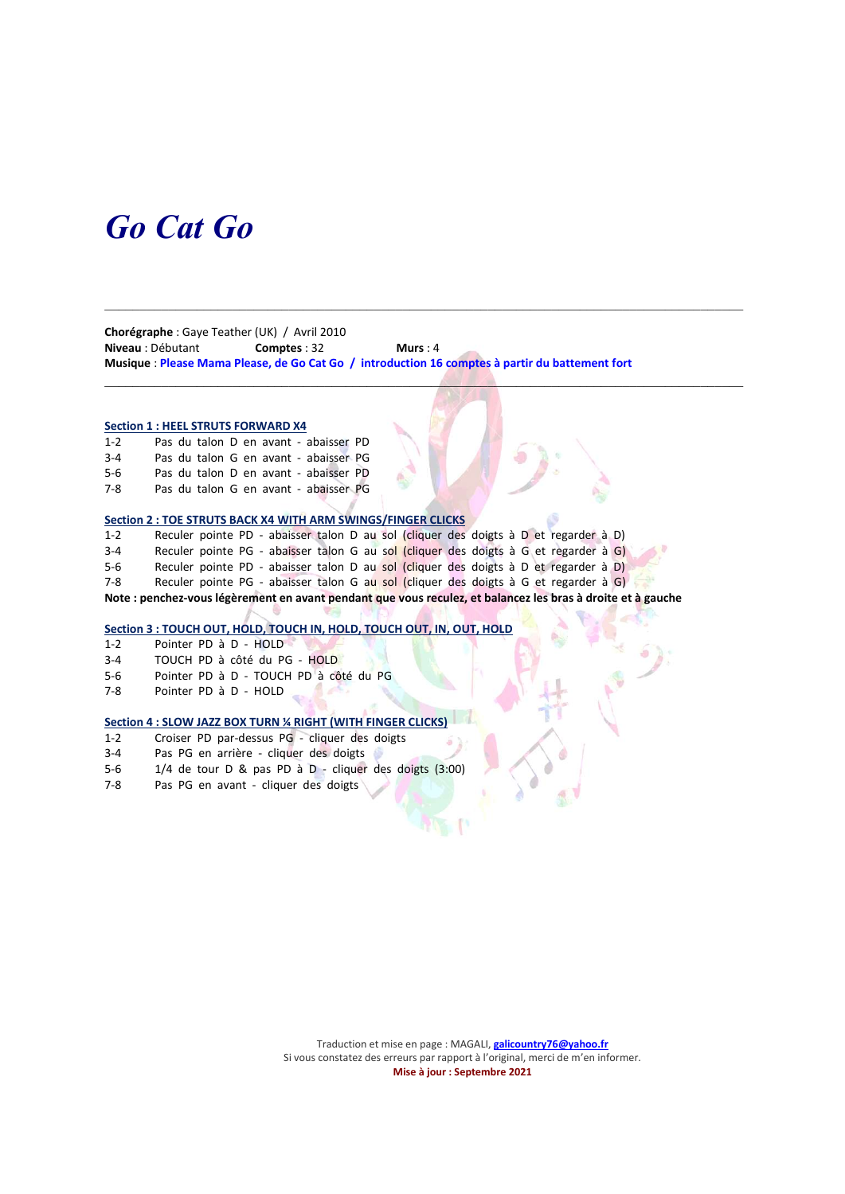# Go Cat Go

Chorégraphe : Gaye Teather (UK) / Avril 2010 Niveau : Débutant Comptes : 32 Murs : 4 Musique : Please Mama Please, de Go Cat Go / introduction 16 comptes à partir du battement fort

 $\mathcal{L}_\mathcal{L} = \{ \mathcal{L}_\mathcal{L} = \{ \mathcal{L}_\mathcal{L} = \{ \mathcal{L}_\mathcal{L} = \{ \mathcal{L}_\mathcal{L} = \{ \mathcal{L}_\mathcal{L} = \{ \mathcal{L}_\mathcal{L} = \{ \mathcal{L}_\mathcal{L} = \{ \mathcal{L}_\mathcal{L} = \{ \mathcal{L}_\mathcal{L} = \{ \mathcal{L}_\mathcal{L} = \{ \mathcal{L}_\mathcal{L} = \{ \mathcal{L}_\mathcal{L} = \{ \mathcal{L}_\mathcal{L} = \{ \mathcal{L}_\mathcal{$ 

 $\Box$ 

### Section 1 : HEEL STRUTS FORWARD X4

1-2 Pas du talon D en avant - abaisser PD 3-4 Pas du talon G en avant - abaisser PG 5-6 Pas du talon D en avant - abaisser PD

7-8 Pas du talon G en avant - abaisser PG

### Section 2 : TOE STRUTS BACK X4 WITH ARM SWINGS/FINGER CLICKS

1-2 Reculer pointe PD - abaisser talon D au sol (cliquer des doigts à D et regarder à D)<br>3-4 Reculer pointe PG - abaisser talon G au sol (cliquer des doigts à G et regarder à G) Reculer pointe PG - abaisser talon G au sol (cliquer des doigts à G et regarder à G) 5-6 Reculer pointe PD - abaisser talon D au sol (cliquer des doigts à D et regarder à D)<br>7-8 Reculer pointe PG - abaisser talon G au sol (cliquer des doigts à G et regarder à G) Reculer pointe PG - abaisser talon G au sol (cliquer des doigts à G et regarder à G)

Note : penchez-vous légèrement en avant pendant que vous reculez, et balancez les bras à droite et à gauche

#### Section 3 : TOUCH OUT, HOLD, TOUCH IN, HOLD, TOUCH OUT, IN, OUT, HOLD

1-2 Pointer PD à D - HOLD

- 3-4 TOUCH PD à côté du PG HOLD
- 5-6 Pointer PD à D TOUCH PD à côté du PG
- 7-8 Pointer PD à D HOLD

# Section 4 : SLOW JAZZ BOX TURN ¼ RIGHT (WITH FINGER CLICKS)

- 1-2 Croiser PD par-dessus PG cliquer des doigts
- 3-4 Pas PG en arrière cliquer des doigts
- 5-6 1/4 de tour D & pas PD à D cliquer des doigts (3:00)
- 7-8 Pas PG en avant cliquer des doigts